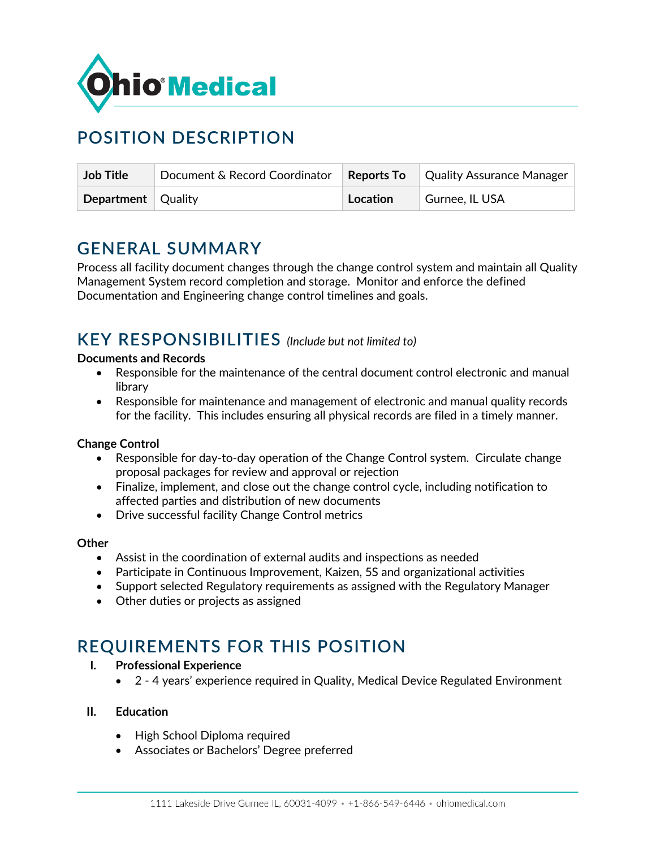

# **POSITION DESCRIPTION**

| <b>Job Title</b>          | Document & Record Coordinator |          | <b>Reports To</b> Quality Assurance Manager |
|---------------------------|-------------------------------|----------|---------------------------------------------|
| <b>Department</b> Quality |                               | Location | Gurnee, IL USA                              |

## **GENERAL SUMMARY**

Process all facility document changes through the change control system and maintain all Quality Management System record completion and storage. Monitor and enforce the defined Documentation and Engineering change control timelines and goals.

## **KEY RESPONSIBILITIES** *(Include but not limited to)*

### **Documents and Records**

- Responsible for the maintenance of the central document control electronic and manual library
- Responsible for maintenance and management of electronic and manual quality records for the facility. This includes ensuring all physical records are filed in a timely manner.

### **Change Control**

- Responsible for day-to-day operation of the Change Control system. Circulate change proposal packages for review and approval or rejection
- Finalize, implement, and close out the change control cycle, including notification to affected parties and distribution of new documents
- Drive successful facility Change Control metrics

### **Other**

- Assist in the coordination of external audits and inspections as needed
- Participate in Continuous Improvement, Kaizen, 5S and organizational activities
- Support selected Regulatory requirements as assigned with the Regulatory Manager
- Other duties or projects as assigned

## **REQUIREMENTS FOR THIS POSITION**

- **I. Professional Experience**
	- 2 4 years' experience required in Quality, Medical Device Regulated Environment

### **II. Education**

- High School Diploma required
- Associates or Bachelors' Degree preferred